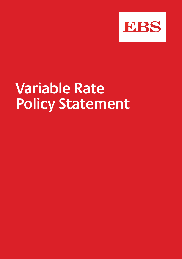

# **Variable Rate Policy Statement**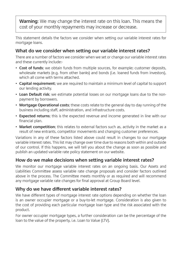**Warning**: We may change the interest rate on this loan. This means the cost of your monthly repayments may increase or decrease.

This statement details the factors we consider when setting our variable interest rates for mortgage loans.

## **What do we consider when setting our variable interest rates?**

There are a number of factors we consider when we set or change our variable interest rates and these currently include:-

- **Cost of funds**; we obtain funds from multiple sources, for example; customer deposits, wholesale markets (e.g. from other banks) and bonds (i.e. loaned funds from investors), which all come with terms attached.
- **Capital requirement**; we are required to maintain a minimum level of capital to support our lending activity.
- **Loan Default risk**; we estimate potential losses on our mortgage loans due to the nonpayment by borrowers.
- **Mortgage Operational costs**; these costs relate to the general day to day running of the business including staff, administration, and infrastructure costs.
- **Expected returns**; this is the expected revenue and income generated in line with our financial plan.
- **Market competition**; this relates to external factors such as, activity in the market as a result of new entrants, competitor movements and changing customer preferences.

Variations in any of these factors listed above could result in changes to our mortgage variable interest rates. This list may change over time due to reasons both within and outside of our control. If this happens, we will tell you about the change as soon as possible and publish an updated variable rate policy statement on our website.

# **How do we make decisions when setting variable interest rates?**

We monitor our mortgage variable interest rates on an ongoing basis. Our Assets and Liabilities Committee assess variable rate change proposals and consider factors outlined above in the process. The Committee meets monthly or as required and will recommend any mortgage variable rate changes for final approval at Group Board level.

# **Why do we have different variable interest rates?**

We have different types of mortgage interest rate options depending on whether the loan is an owner occupier mortgage or a buy-to-let mortgage. Consideration is also given to the cost of providing each particular mortgage loan type and the risk associated with the product.

For owner occupier mortgage types, a further consideration can be the percentage of the loan to the value of the property, i.e. Loan to Value (LTV).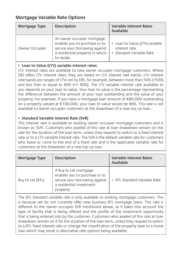# **Mortgage Variable Rate Options**

| Mortgage Type  | <b>Description</b>                                                                                                                            | <b>Variable Interest Rates</b><br>Available                                 |
|----------------|-----------------------------------------------------------------------------------------------------------------------------------------------|-----------------------------------------------------------------------------|
| Owner Occupier | An owner occupier mortgage<br>enables you to purchase or to<br>secure your borrowing against<br>a residential property in which<br>to reside. | • Loan to Value (LTV) variable<br>interest rate<br>• Standard Variable Rate |

#### **• Loan to Value (LTV) variable interest rates:**

LTV interest rates are available to new owner occupier mortgage customers. Where EBS offers LTV interest rates, they are based on LTV interest rate bands. LTV interest rate bands are ranges of LTVs set by EBS, for example, between more than 50% (>50%) and less than or equal to  $80\%$  ( $\leq 80\%$ ). The LTV variable interest rate available to you depends on your loan to value. Your loan to value is the percentage representing the difference between the amount of your loan outstanding and the value of your property. For example, if you have a mortgage loan amount of €80,000 outstanding on a property valued at €100,000, your loan to value would be 80%. This rate is not available to owner occupier customers at the drawdown of a new top up loan.

#### **• Standard Variable Interest Rate (SVR)**

This interest rate is available to existing owner occupier mortgage customers and is known as 'SVR'. Customers who availed of this rate at loan drawdown remain on this rate for the duration of the loan term, unless they request to switch to a fixed interest rate or to a LTV variable interest rate. The SVR is the default variable rate for customers who leave or come to the end of a fixed rate and is the applicable variable rate for customers at the drawdown of a new top up loan.

| Mortgage Type    | <b>Description</b>                                                                                                               | <b>Variable Interest Rates</b><br>Available |
|------------------|----------------------------------------------------------------------------------------------------------------------------------|---------------------------------------------|
| Buy to Let (BTL) | A Buy to Let mortgage<br>enables you to purchase or to<br>secure your borrowing against<br>a residential investment<br>property. | • BTL Standard Variable Rate                |

The BTL standard variable rate is only available to existing mortgage customers. This is because we do not currently offer new business BTL mortgage loans. This rate is different to the owner occupier SVR mentioned above, as it takes into account the type of facility that is being offered and the profile of the investment opportunity that is being entered into by the customer. Customers who availed of this rate at loan drawdown remain on it for the duration of the loan term, unless they request to switch to a BTL fixed interest rate or change the classification of the property type to a home loan which may result in alternative rate options being available.